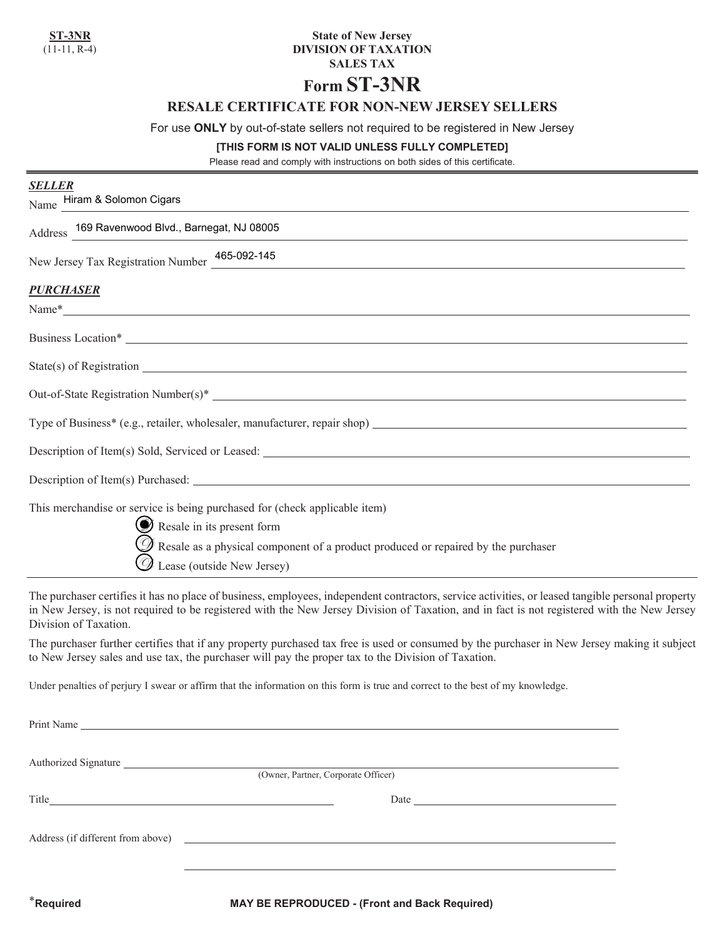## **State of New Jersey DIVISION OF TAXATION SALES TAX**

# **Form ST-3NR**

## **RESALE CERTIFICATE FOR NON-NEW JERSEY SELLERS**

For use **ONLY** by out-of-state sellers not required to be registered in New Jersey

#### **[THIS FORM IS NOT VALID UNLESS FULLY COMPLETED]**

Please read and comply with instructions on both sides of this certificate.

| <b>SELLER</b><br>Name Hiram & Solomon Cigars                                                                                                                                                                                                           |
|--------------------------------------------------------------------------------------------------------------------------------------------------------------------------------------------------------------------------------------------------------|
| Address 169 Ravenwood Blvd., Barnegat, NJ 08005<br><u> 1989 - Johann Stoff, deutscher Stoff, der Stoff, der Stoff, der Stoff, der Stoff, der Stoff, der Stoff, der S</u>                                                                               |
| New Jersey Tax Registration Number 465-092-145                                                                                                                                                                                                         |
| <b>PURCHASER</b><br>Name*                                                                                                                                                                                                                              |
| Business Location*                                                                                                                                                                                                                                     |
| $State(s)$ of Registration $\overline{\phantom{a}}$                                                                                                                                                                                                    |
|                                                                                                                                                                                                                                                        |
|                                                                                                                                                                                                                                                        |
|                                                                                                                                                                                                                                                        |
|                                                                                                                                                                                                                                                        |
| This merchandise or service is being purchased for (check applicable item)<br>Resale in its present form<br>$\mathscr D$ Resale as a physical component of a product produced or repaired by the purchaser<br>$\mathscr{D}$ Lease (outside New Jersey) |

The purchaser certifies it has no place of business, employees, independent contractors, service activities, or leased tangible personal property in New Jersey, is not required to be registered with the New Jersey Division of Taxation, and in fact is not registered with the New Jersey Division of Taxation.

The purchaser further certifies that if any property purchased tax free is used or consumed by the purchaser in New Jersey making it subject to New Jersey sales and use tax, the purchaser will pay the proper tax to the Division of Taxation.

Under penalties of perjury I swear or affirm that the information on this form is true and correct to the best of my knowledge.

| (Owner, Partner, Corporate Officer)                                                                                                                                                                                                  |  |  |
|--------------------------------------------------------------------------------------------------------------------------------------------------------------------------------------------------------------------------------------|--|--|
| Title <u>and the series of the series of the series of the series of the series of the series of the series of the series of the series of the series of the series of the series of the series of the series of the series of t</u> |  |  |
| Address (if different from above)                                                                                                                                                                                                    |  |  |
|                                                                                                                                                                                                                                      |  |  |